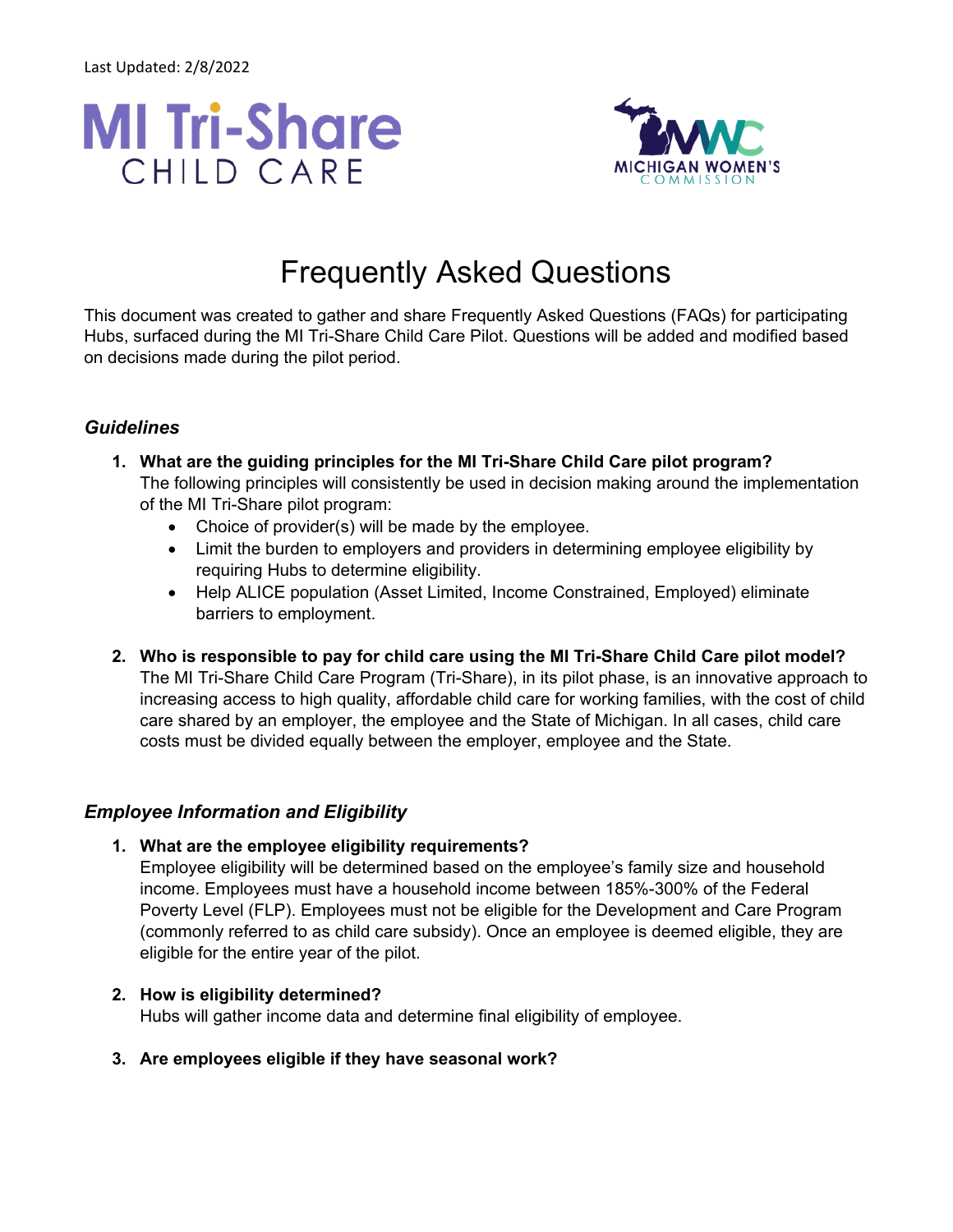



### Frequently Asked Questions

This document was created to gather and share Frequently Asked Questions (FAQs) for participating Hubs, surfaced during the MI Tri-Share Child Care Pilot. Questions will be added and modified based on decisions made during the pilot period.

#### *Guidelines*

- **1. What are the guiding principles for the MI Tri-Share Child Care pilot program?** The following principles will consistently be used in decision making around the implementation of the MI Tri-Share pilot program:
	- Choice of provider(s) will be made by the employee.
	- Limit the burden to employers and providers in determining employee eligibility by requiring Hubs to determine eligibility.
	- Help ALICE population (Asset Limited, Income Constrained, Employed) eliminate barriers to employment.
- **2. Who is responsible to pay for child care using the MI Tri-Share Child Care pilot model?** The MI Tri-Share Child Care Program (Tri-Share), in its pilot phase, is an innovative approach to increasing access to high quality, affordable child care for working families, with the cost of child care shared by an employer, the employee and the State of Michigan. In all cases, child care costs must be divided equally between the employer, employee and the State.

#### *Employee Information and Eligibility*

#### **1. What are the employee eligibility requirements?**

Employee eligibility will be determined based on the employee's family size and household income. Employees must have a household income between 185%-300% of the Federal Poverty Level (FLP). Employees must not be eligible for the Development and Care Program (commonly referred to as child care subsidy). Once an employee is deemed eligible, they are eligible for the entire year of the pilot.

- **2. How is eligibility determined?** Hubs will gather income data and determine final eligibility of employee.
- **3. Are employees eligible if they have seasonal work?**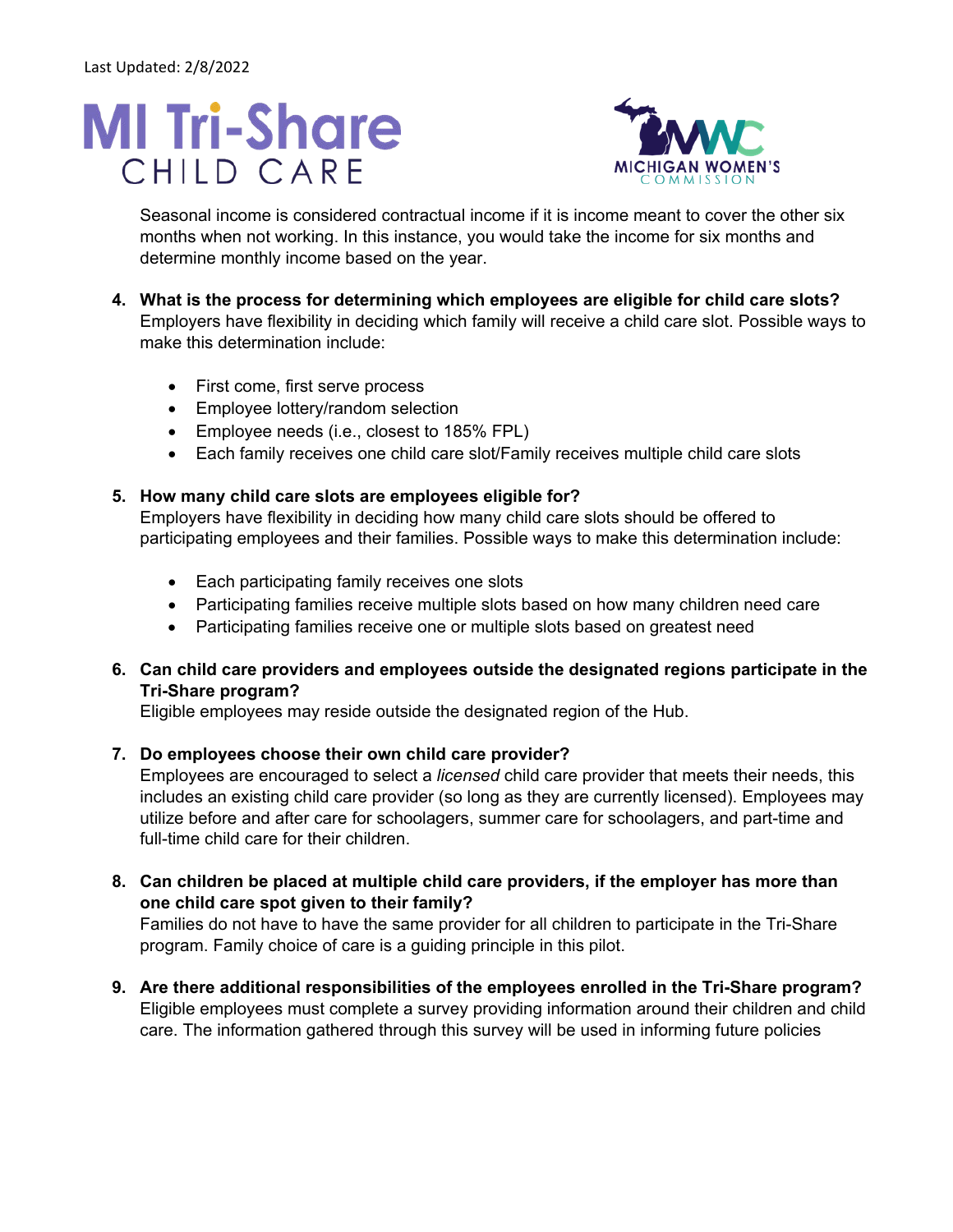## **MI Tri-Share** CHILD CARE



Seasonal income is considered contractual income if it is income meant to cover the other six months when not working. In this instance, you would take the income for six months and determine monthly income based on the year.

- **4. What is the process for determining which employees are eligible for child care slots?** Employers have flexibility in deciding which family will receive a child care slot. Possible ways to make this determination include:
	- First come, first serve process
	- Employee lottery/random selection
	- Employee needs (i.e., closest to 185% FPL)
	- Each family receives one child care slot/Family receives multiple child care slots

#### **5. How many child care slots are employees eligible for?**

Employers have flexibility in deciding how many child care slots should be offered to participating employees and their families. Possible ways to make this determination include:

- Each participating family receives one slots
- Participating families receive multiple slots based on how many children need care
- Participating families receive one or multiple slots based on greatest need
- **6. Can child care providers and employees outside the designated regions participate in the Tri-Share program?**

Eligible employees may reside outside the designated region of the Hub.

#### **7. Do employees choose their own child care provider?**

Employees are encouraged to select a *licensed* child care provider that meets their needs, this includes an existing child care provider (so long as they are currently licensed). Employees may utilize before and after care for schoolagers, summer care for schoolagers, and part-time and full-time child care for their children.

**8. Can children be placed at multiple child care providers, if the employer has more than one child care spot given to their family?**

Families do not have to have the same provider for all children to participate in the Tri-Share program. Family choice of care is a guiding principle in this pilot.

**9. Are there additional responsibilities of the employees enrolled in the Tri-Share program?** Eligible employees must complete a survey providing information around their children and child care. The information gathered through this survey will be used in informing future policies